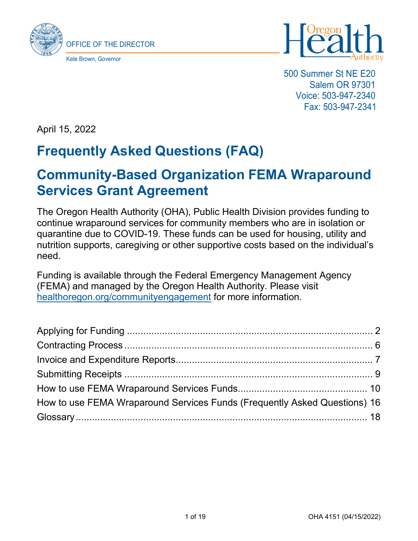



500 Summer St NE E20 Salem OR 97301 Voice: 503-947-2340 Fax: 503-947-2341

April 15, 2022

# **Frequently Asked Questions (FAQ)**

# **Community-Based Organization FEMA Wraparound Services Grant Agreement**

The Oregon Health Authority (OHA), Public Health Division provides funding to continue wraparound services for community members who are in isolation or quarantine due to COVID-19. These funds can be used for housing, utility and nutrition supports, caregiving or other supportive costs based on the individual's need.

Funding is available through the Federal Emergency Management Agency (FEMA) and managed by the Oregon Health Authority. Please visit [healthoregon.org/communityengagement](http://www.healthoregon.org/communityengagement) for more information.

| How to use FEMA Wraparound Services Funds (Frequently Asked Questions) 16 |  |
|---------------------------------------------------------------------------|--|
|                                                                           |  |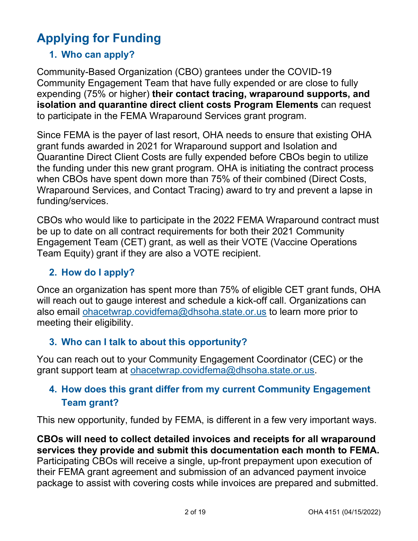# <span id="page-1-0"></span>**Applying for Funding**

## **1. Who can apply?**

Community-Based Organization (CBO) grantees under the COVID-19 Community Engagement Team that have fully expended or are close to fully expending (75% or higher) **their contact tracing, wraparound supports, and isolation and quarantine direct client costs Program Elements** can request to participate in the FEMA Wraparound Services grant program.

Since FEMA is the payer of last resort, OHA needs to ensure that existing OHA grant funds awarded in 2021 for Wraparound support and Isolation and Quarantine Direct Client Costs are fully expended before CBOs begin to utilize the funding under this new grant program. OHA is initiating the contract process when CBOs have spent down more than 75% of their combined (Direct Costs, Wraparound Services, and Contact Tracing) award to try and prevent a lapse in funding/services.

CBOs who would like to participate in the 2022 FEMA Wraparound contract must be up to date on all contract requirements for both their 2021 Community Engagement Team (CET) grant, as well as their VOTE (Vaccine Operations Team Equity) grant if they are also a VOTE recipient.

### **2. How do I apply?**

Once an organization has spent more than 75% of eligible CET grant funds, OHA will reach out to gauge interest and schedule a kick-off call. Organizations can also email [ohacetwrap.covidfema@dhsoha.state.or.us](mailto:ohacetwrap.covidfema@dhsoha.state.or.us) to learn more prior to meeting their eligibility.

#### **3. Who can I talk to about this opportunity?**

You can reach out to your Community Engagement Coordinator (CEC) or the grant support team at [ohacetwrap.covidfema@dhsoha.state.or.us.](mailto:ohacetwrap.covidfema@dhsoha.state.or.us)

### **4. How does this grant differ from my current Community Engagement Team grant?**

This new opportunity, funded by FEMA, is different in a few very important ways.

**CBOs will need to collect detailed invoices and receipts for all wraparound services they provide and submit this documentation each month to FEMA.** Participating CBOs will receive a single, up-front prepayment upon execution of their FEMA grant agreement and submission of an advanced payment invoice package to assist with covering costs while invoices are prepared and submitted.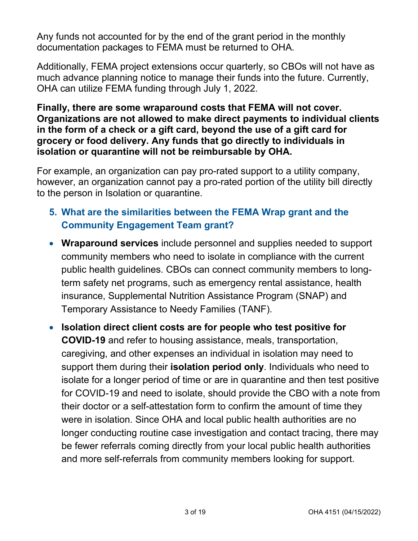Any funds not accounted for by the end of the grant period in the monthly documentation packages to FEMA must be returned to OHA.

Additionally, FEMA project extensions occur quarterly, so CBOs will not have as much advance planning notice to manage their funds into the future. Currently, OHA can utilize FEMA funding through July 1, 2022.

#### **Finally, there are some wraparound costs that FEMA will not cover. Organizations are not allowed to make direct payments to individual clients in the form of a check or a gift card, beyond the use of a gift card for grocery or food delivery. Any funds that go directly to individuals in isolation or quarantine will not be reimbursable by OHA.**

For example, an organization can pay pro-rated support to a utility company, however, an organization cannot pay a pro-rated portion of the utility bill directly to the person in Isolation or quarantine.

## **5. What are the similarities between the FEMA Wrap grant and the Community Engagement Team grant?**

- **Wraparound services** include personnel and supplies needed to support community members who need to isolate in compliance with the current public health guidelines. CBOs can connect community members to longterm safety net programs, such as emergency rental assistance, health insurance, Supplemental Nutrition Assistance Program (SNAP) and Temporary Assistance to Needy Families (TANF).
- **Isolation direct client costs are for people who test positive for COVID-19** and refer to housing assistance, meals, transportation, caregiving, and other expenses an individual in isolation may need to support them during their **isolation period only**. Individuals who need to isolate for a longer period of time or are in quarantine and then test positive for COVID-19 and need to isolate, should provide the CBO with a note from their doctor or a self-attestation form to confirm the amount of time they were in isolation. Since OHA and local public health authorities are no longer conducting routine case investigation and contact tracing, there may be fewer referrals coming directly from your local public health authorities and more self-referrals from community members looking for support.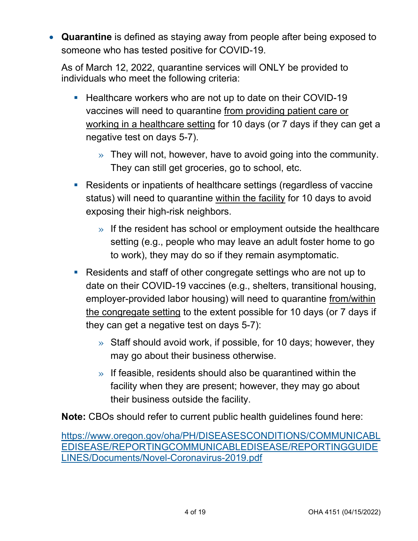• **Quarantine** is defined as staying away from people after being exposed to someone who has tested positive for COVID-19.

As of March 12, 2022, quarantine services will ONLY be provided to individuals who meet the following criteria:

- **Healthcare workers who are not up to date on their COVID-19** vaccines will need to quarantine from providing patient care or working in a healthcare setting for 10 days (or 7 days if they can get a negative test on days 5-7).
	- » They will not, however, have to avoid going into the community. They can still get groceries, go to school, etc.
- **Residents or inpatients of healthcare settings (regardless of vaccine** status) will need to quarantine within the facility for 10 days to avoid exposing their high-risk neighbors.
	- $\lambda$  If the resident has school or employment outside the healthcare setting (e.g., people who may leave an adult foster home to go to work), they may do so if they remain asymptomatic.
- Residents and staff of other congregate settings who are not up to date on their COVID-19 vaccines (e.g., shelters, transitional housing, employer-provided labor housing) will need to quarantine from/within the congregate setting to the extent possible for 10 days (or 7 days if they can get a negative test on days 5-7):
	- » Staff should avoid work, if possible, for 10 days; however, they may go about their business otherwise.
	- $\gg$  If feasible, residents should also be quarantined within the facility when they are present; however, they may go about their business outside the facility.

**Note:** CBOs should refer to current public health guidelines found here:

[https://www.oregon.gov/oha/PH/DISEASESCONDITIONS/COMMUNICABL](https://www.oregon.gov/oha/PH/DISEASESCONDITIONS/COMMUNICABLEDISEASE/REPORTINGCOMMUNICABLEDISEASE/REPORTINGGUIDELINES/Documents/Novel-Coronavirus-2019.pdf) [EDISEASE/REPORTINGCOMMUNICABLEDISEASE/REPORTINGGUIDE](https://www.oregon.gov/oha/PH/DISEASESCONDITIONS/COMMUNICABLEDISEASE/REPORTINGCOMMUNICABLEDISEASE/REPORTINGGUIDELINES/Documents/Novel-Coronavirus-2019.pdf) [LINES/Documents/Novel-Coronavirus-2019.pdf](https://www.oregon.gov/oha/PH/DISEASESCONDITIONS/COMMUNICABLEDISEASE/REPORTINGCOMMUNICABLEDISEASE/REPORTINGGUIDELINES/Documents/Novel-Coronavirus-2019.pdf)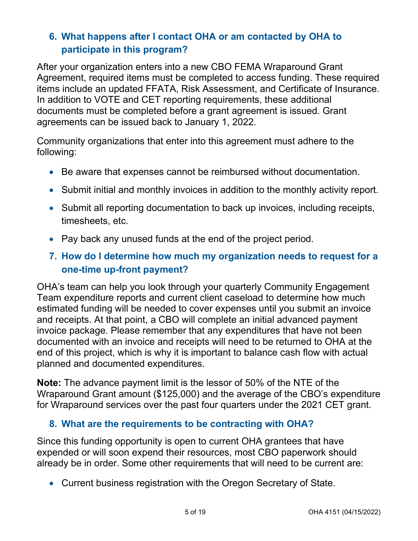## **6. What happens after I contact OHA or am contacted by OHA to participate in this program?**

After your organization enters into a new CBO FEMA Wraparound Grant Agreement, required items must be completed to access funding. These required items include an updated FFATA, Risk Assessment, and Certificate of Insurance. In addition to VOTE and CET reporting requirements, these additional documents must be completed before a grant agreement is issued. Grant agreements can be issued back to January 1, 2022.

Community organizations that enter into this agreement must adhere to the following:

- Be aware that expenses cannot be reimbursed without documentation.
- Submit initial and monthly invoices in addition to the monthly activity report.
- Submit all reporting documentation to back up invoices, including receipts, timesheets, etc.
- Pay back any unused funds at the end of the project period.

### **7. How do I determine how much my organization needs to request for a one-time up-front payment?**

OHA's team can help you look through your quarterly Community Engagement Team expenditure reports and current client caseload to determine how much estimated funding will be needed to cover expenses until you submit an invoice and receipts. At that point, a CBO will complete an initial advanced payment invoice package. Please remember that any expenditures that have not been documented with an invoice and receipts will need to be returned to OHA at the end of this project, which is why it is important to balance cash flow with actual planned and documented expenditures.

**Note:** The advance payment limit is the lessor of 50% of the NTE of the Wraparound Grant amount (\$125,000) and the average of the CBO's expenditure for Wraparound services over the past four quarters under the 2021 CET grant.

#### **8. What are the requirements to be contracting with OHA?**

Since this funding opportunity is open to current OHA grantees that have expended or will soon expend their resources, most CBO paperwork should already be in order. Some other requirements that will need to be current are:

• Current business registration with the Oregon Secretary of State.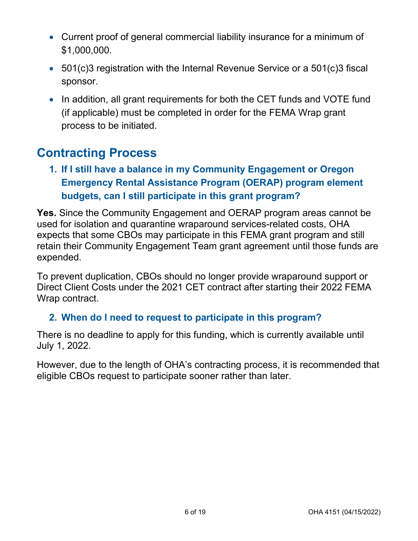- Current proof of general commercial liability insurance for a minimum of \$1,000,000.
- 501(c)3 registration with the Internal Revenue Service or a 501(c)3 fiscal sponsor.
- In addition, all grant requirements for both the CET funds and VOTE fund (if applicable) must be completed in order for the FEMA Wrap grant process to be initiated.

## <span id="page-5-0"></span>**Contracting Process**

**1. If I still have a balance in my Community Engagement or Oregon Emergency Rental Assistance Program (OERAP) program element budgets, can I still participate in this grant program?**

**Yes.** Since the Community Engagement and OERAP program areas cannot be used for isolation and quarantine wraparound services-related costs, OHA expects that some CBOs may participate in this FEMA grant program and still retain their Community Engagement Team grant agreement until those funds are expended.

To prevent duplication, CBOs should no longer provide wraparound support or Direct Client Costs under the 2021 CET contract after starting their 2022 FEMA Wrap contract.

#### **2. When do I need to request to participate in this program?**

There is no deadline to apply for this funding, which is currently available until July 1, 2022.

However, due to the length of OHA's contracting process, it is recommended that eligible CBOs request to participate sooner rather than later.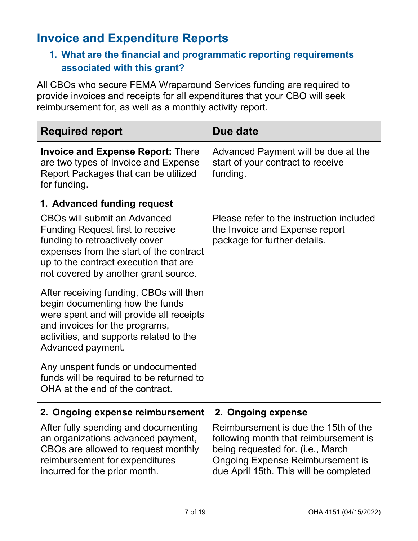# <span id="page-6-0"></span>**Invoice and Expenditure Reports**

## **1. What are the financial and programmatic reporting requirements associated with this grant?**

All CBOs who secure FEMA Wraparound Services funding are required to provide invoices and receipts for all expenditures that your CBO will seek reimbursement for, as well as a monthly activity report.

| <b>Required report</b>                                                                                                                                                                                                                       | Due date                                                                                                                                                                                                |
|----------------------------------------------------------------------------------------------------------------------------------------------------------------------------------------------------------------------------------------------|---------------------------------------------------------------------------------------------------------------------------------------------------------------------------------------------------------|
| <b>Invoice and Expense Report: There</b><br>are two types of Invoice and Expense<br>Report Packages that can be utilized<br>for funding.                                                                                                     | Advanced Payment will be due at the<br>start of your contract to receive<br>funding.                                                                                                                    |
| 1. Advanced funding request                                                                                                                                                                                                                  |                                                                                                                                                                                                         |
| <b>CBOs will submit an Advanced</b><br><b>Funding Request first to receive</b><br>funding to retroactively cover<br>expenses from the start of the contract<br>up to the contract execution that are<br>not covered by another grant source. | Please refer to the instruction included<br>the Invoice and Expense report<br>package for further details.                                                                                              |
| After receiving funding, CBOs will then<br>begin documenting how the funds<br>were spent and will provide all receipts<br>and invoices for the programs,<br>activities, and supports related to the<br>Advanced payment.                     |                                                                                                                                                                                                         |
| Any unspent funds or undocumented<br>funds will be required to be returned to<br>OHA at the end of the contract.                                                                                                                             |                                                                                                                                                                                                         |
| 2. Ongoing expense reimbursement                                                                                                                                                                                                             | 2. Ongoing expense                                                                                                                                                                                      |
| After fully spending and documenting<br>an organizations advanced payment,<br>CBOs are allowed to request monthly<br>reimbursement for expenditures<br>incurred for the prior month.                                                         | Reimbursement is due the 15th of the<br>following month that reimbursement is<br>being requested for. (i.e., March<br><b>Ongoing Expense Reimbursement is</b><br>due April 15th. This will be completed |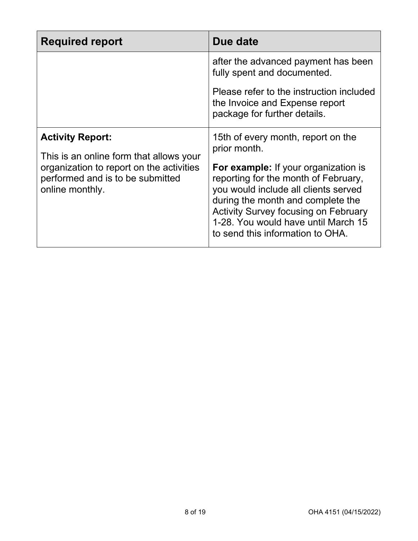| <b>Required report</b>                                                                                                                                                | Due date                                                                                                                                                                                                                                                                                                                                  |
|-----------------------------------------------------------------------------------------------------------------------------------------------------------------------|-------------------------------------------------------------------------------------------------------------------------------------------------------------------------------------------------------------------------------------------------------------------------------------------------------------------------------------------|
|                                                                                                                                                                       | after the advanced payment has been<br>fully spent and documented.                                                                                                                                                                                                                                                                        |
|                                                                                                                                                                       | Please refer to the instruction included<br>the Invoice and Expense report<br>package for further details.                                                                                                                                                                                                                                |
| <b>Activity Report:</b><br>This is an online form that allows your<br>organization to report on the activities<br>performed and is to be submitted<br>online monthly. | 15th of every month, report on the<br>prior month.<br>For example: If your organization is<br>reporting for the month of February,<br>you would include all clients served<br>during the month and complete the<br><b>Activity Survey focusing on February</b><br>1-28. You would have until March 15<br>to send this information to OHA. |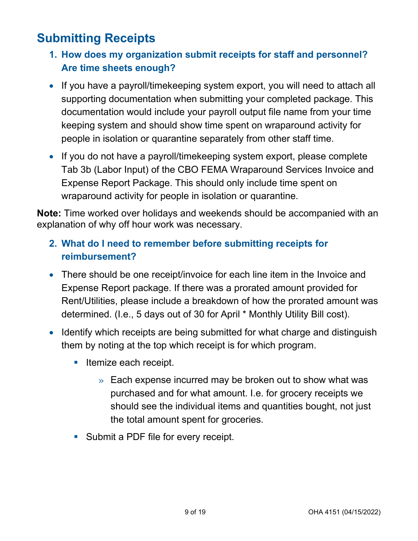# <span id="page-8-0"></span>**Submitting Receipts**

- **1. How does my organization submit receipts for staff and personnel? Are time sheets enough?**
- If you have a payroll/timekeeping system export, you will need to attach all supporting documentation when submitting your completed package. This documentation would include your payroll output file name from your time keeping system and should show time spent on wraparound activity for people in isolation or quarantine separately from other staff time.
- If you do not have a payroll/timekeeping system export, please complete Tab 3b (Labor Input) of the CBO FEMA Wraparound Services Invoice and Expense Report Package. This should only include time spent on wraparound activity for people in isolation or quarantine.

**Note:** Time worked over holidays and weekends should be accompanied with an explanation of why off hour work was necessary.

## **2. What do I need to remember before submitting receipts for reimbursement?**

- There should be one receipt/invoice for each line item in the Invoice and Expense Report package. If there was a prorated amount provided for Rent/Utilities, please include a breakdown of how the prorated amount was determined. (I.e., 5 days out of 30 for April \* Monthly Utility Bill cost).
- Identify which receipts are being submitted for what charge and distinguish them by noting at the top which receipt is for which program.
	- **Itemize each receipt.** 
		- » Each expense incurred may be broken out to show what was purchased and for what amount. I.e. for grocery receipts we should see the individual items and quantities bought, not just the total amount spent for groceries.
	- **Submit a PDF file for every receipt.**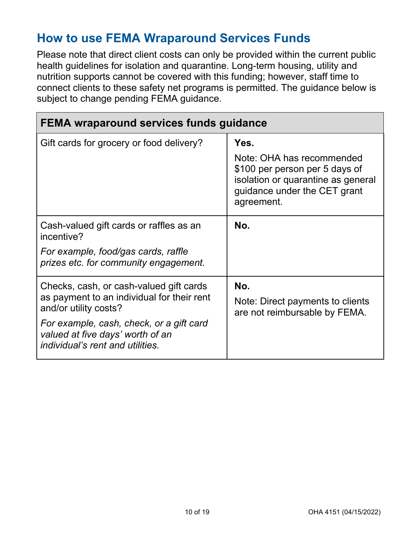## <span id="page-9-0"></span>**How to use FEMA Wraparound Services Funds**

Please note that direct client costs can only be provided within the current public health guidelines for isolation and quarantine. Long-term housing, utility and nutrition supports cannot be covered with this funding; however, staff time to connect clients to these safety net programs is permitted. The guidance below is subject to change pending FEMA guidance.

| <b>FEMA wraparound services funds guidance</b>                                                                                                                                                                                     |                                                                                                                                                         |
|------------------------------------------------------------------------------------------------------------------------------------------------------------------------------------------------------------------------------------|---------------------------------------------------------------------------------------------------------------------------------------------------------|
| Gift cards for grocery or food delivery?                                                                                                                                                                                           | Yes.<br>Note: OHA has recommended<br>\$100 per person per 5 days of<br>isolation or quarantine as general<br>guidance under the CET grant<br>agreement. |
| Cash-valued gift cards or raffles as an<br>incentive?<br>For example, food/gas cards, raffle<br>prizes etc. for community engagement.                                                                                              | No.                                                                                                                                                     |
| Checks, cash, or cash-valued gift cards<br>as payment to an individual for their rent<br>and/or utility costs?<br>For example, cash, check, or a gift card<br>valued at five days' worth of an<br>individual's rent and utilities. | No.<br>Note: Direct payments to clients<br>are not reimbursable by FEMA.                                                                                |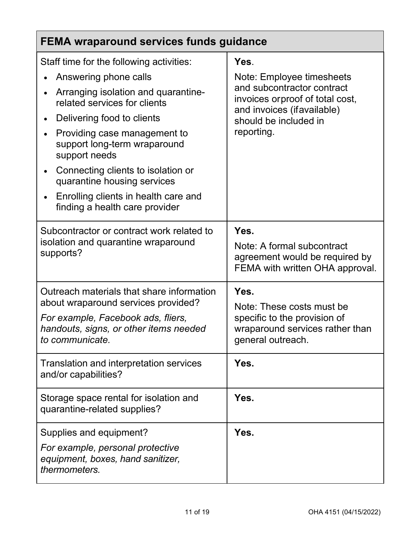| FEMA wraparound services funds guidance                                                         |                                                                                                         |
|-------------------------------------------------------------------------------------------------|---------------------------------------------------------------------------------------------------------|
| Staff time for the following activities:                                                        | Yes.                                                                                                    |
| Answering phone calls<br>Arranging isolation and quarantine-<br>related services for clients    | Note: Employee timesheets<br>and subcontractor contract<br>invoices orproof of total cost,              |
| Delivering food to clients                                                                      | and invoices (ifavailable)<br>should be included in                                                     |
| Providing case management to<br>support long-term wraparound<br>support needs                   | reporting.                                                                                              |
| Connecting clients to isolation or<br>quarantine housing services                               |                                                                                                         |
| Enrolling clients in health care and<br>finding a health care provider                          |                                                                                                         |
| Subcontractor or contract work related to<br>isolation and quarantine wraparound<br>supports?   | Yes.<br>Note: A formal subcontract<br>agreement would be required by<br>FEMA with written OHA approval. |
| Outreach materials that share information<br>about wraparound services provided?                | Yes.<br>Note: These costs must be                                                                       |
| For example, Facebook ads, fliers,<br>handouts, signs, or other items needed<br>to communicate. | specific to the provision of<br>wraparound services rather than<br>general outreach.                    |
| Translation and interpretation services<br>and/or capabilities?                                 | Yes.                                                                                                    |
| Storage space rental for isolation and<br>quarantine-related supplies?                          | Yes.                                                                                                    |
| Supplies and equipment?                                                                         | Yes.                                                                                                    |
| For example, personal protective<br>equipment, boxes, hand sanitizer,<br>thermometers.          |                                                                                                         |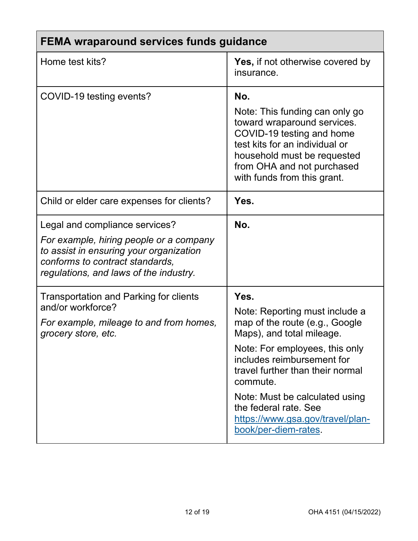| FEMA wraparound services funds guidance                                                                                                                                                           |                                                                                                                                                                                                                                                                                                                                              |
|---------------------------------------------------------------------------------------------------------------------------------------------------------------------------------------------------|----------------------------------------------------------------------------------------------------------------------------------------------------------------------------------------------------------------------------------------------------------------------------------------------------------------------------------------------|
| Home test kits?                                                                                                                                                                                   | <b>Yes, if not otherwise covered by</b><br>insurance.                                                                                                                                                                                                                                                                                        |
| COVID-19 testing events?                                                                                                                                                                          | No.<br>Note: This funding can only go<br>toward wraparound services.<br>COVID-19 testing and home<br>test kits for an individual or<br>household must be requested<br>from OHA and not purchased<br>with funds from this grant.                                                                                                              |
| Child or elder care expenses for clients?                                                                                                                                                         | Yes.                                                                                                                                                                                                                                                                                                                                         |
| Legal and compliance services?<br>For example, hiring people or a company<br>to assist in ensuring your organization<br>conforms to contract standards,<br>regulations, and laws of the industry. | No.                                                                                                                                                                                                                                                                                                                                          |
| Transportation and Parking for clients<br>and/or workforce?<br>For example, mileage to and from homes,<br>grocery store, etc.                                                                     | Yes.<br>Note: Reporting must include a<br>map of the route (e.g., Google<br>Maps), and total mileage.<br>Note: For employees, this only<br>includes reimbursement for<br>travel further than their normal<br>commute.<br>Note: Must be calculated using<br>the federal rate. See<br>https://www.gsa.gov/travel/plan-<br>book/per-diem-rates. |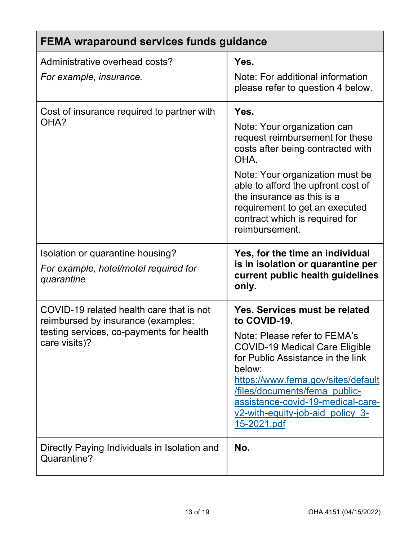| <b>FEMA wraparound services funds guidance</b>                                                                                              |                                                                                                                                                                                                                                                                                                                                            |
|---------------------------------------------------------------------------------------------------------------------------------------------|--------------------------------------------------------------------------------------------------------------------------------------------------------------------------------------------------------------------------------------------------------------------------------------------------------------------------------------------|
| Administrative overhead costs?                                                                                                              | Yes.                                                                                                                                                                                                                                                                                                                                       |
| For example, insurance.                                                                                                                     | Note: For additional information<br>please refer to question 4 below.                                                                                                                                                                                                                                                                      |
| Cost of insurance required to partner with<br>OHA?                                                                                          | Yes.<br>Note: Your organization can<br>request reimbursement for these<br>costs after being contracted with<br>OHA.<br>Note: Your organization must be<br>able to afford the upfront cost of<br>the insurance as this is a<br>requirement to get an executed<br>contract which is required for<br>reimbursement.                           |
| Isolation or quarantine housing?<br>For example, hotel/motel required for<br>quarantine                                                     | Yes, for the time an individual<br>is in isolation or quarantine per<br>current public health guidelines<br>only.                                                                                                                                                                                                                          |
| COVID-19 related health care that is not<br>reimbursed by insurance (examples:<br>testing services, co-payments for health<br>care visits)? | <b>Yes. Services must be related</b><br>to COVID-19.<br>Note: Please refer to FEMA's<br><b>COVID-19 Medical Care Eligible</b><br>for Public Assistance in the link<br>below:<br>https://www.fema.gov/sites/default<br>files/documents/fema public-<br>assistance-covid-19-medical-care-<br>v2-with-equity-job-aid policy 3-<br>15-2021.pdf |
| Directly Paying Individuals in Isolation and<br>Quarantine?                                                                                 | No.                                                                                                                                                                                                                                                                                                                                        |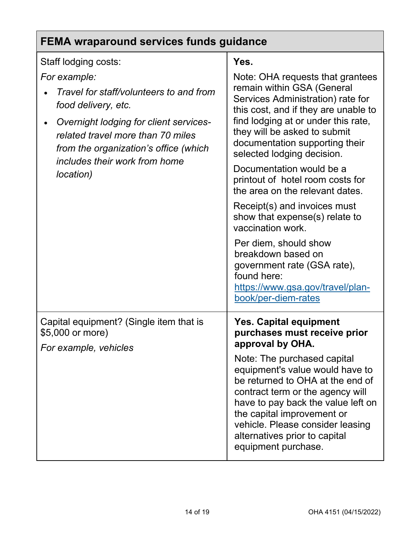| <b>FEMA wraparound services funds guidance</b>                                                                                                                                                                                                                                    |                                                                                                                                                                                                                                                                                                                                                                                                                                                                                                                                                                                                                                                     |
|-----------------------------------------------------------------------------------------------------------------------------------------------------------------------------------------------------------------------------------------------------------------------------------|-----------------------------------------------------------------------------------------------------------------------------------------------------------------------------------------------------------------------------------------------------------------------------------------------------------------------------------------------------------------------------------------------------------------------------------------------------------------------------------------------------------------------------------------------------------------------------------------------------------------------------------------------------|
| Staff lodging costs:<br>For example:<br>Travel for staff/volunteers to and from<br>food delivery, etc.<br>Overnight lodging for client services-<br>٠<br>related travel more than 70 miles<br>from the organization's office (which<br>includes their work from home<br>location) | Yes.<br>Note: OHA requests that grantees<br>remain within GSA (General<br>Services Administration) rate for<br>this cost, and if they are unable to<br>find lodging at or under this rate,<br>they will be asked to submit<br>documentation supporting their<br>selected lodging decision.<br>Documentation would be a<br>printout of hotel room costs for<br>the area on the relevant dates.<br>Receipt(s) and invoices must<br>show that expense(s) relate to<br>vaccination work.<br>Per diem, should show<br>breakdown based on<br>government rate (GSA rate),<br>found here:<br><u>https://www.gsa.gov/travel/plan-</u><br>book/per-diem-rates |
| Capital equipment? (Single item that is<br>\$5,000 or more)<br>For example, vehicles                                                                                                                                                                                              | <b>Yes. Capital equipment</b><br>purchases must receive prior<br>approval by OHA.<br>Note: The purchased capital<br>equipment's value would have to<br>be returned to OHA at the end of<br>contract term or the agency will<br>have to pay back the value left on<br>the capital improvement or<br>vehicle. Please consider leasing<br>alternatives prior to capital<br>equipment purchase.                                                                                                                                                                                                                                                         |

 $\overline{\mathsf{I}}$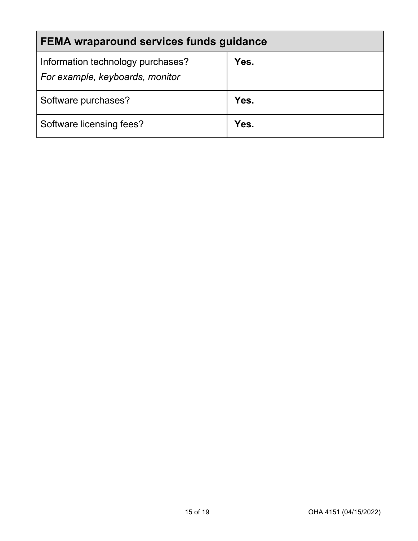| FEMA wraparound services funds guidance                              |      |
|----------------------------------------------------------------------|------|
| Information technology purchases?<br>For example, keyboards, monitor | Yes. |
| Software purchases?                                                  | Yes. |
| Software licensing fees?                                             | Yes. |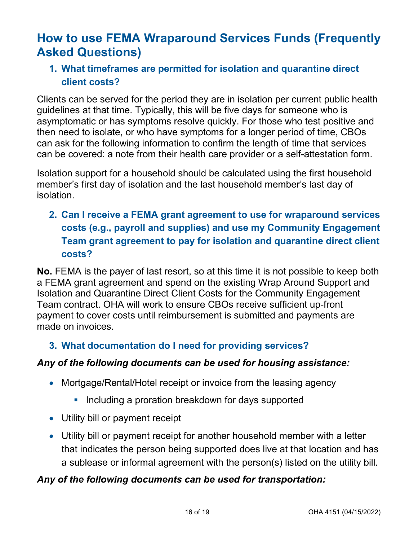# <span id="page-15-0"></span>**How to use FEMA Wraparound Services Funds (Frequently Asked Questions)**

### **1. What timeframes are permitted for isolation and quarantine direct client costs?**

Clients can be served for the period they are in isolation per current public health guidelines at that time. Typically, this will be five days for someone who is asymptomatic or has symptoms resolve quickly. For those who test positive and then need to isolate, or who have symptoms for a longer period of time, CBOs can ask for the following information to confirm the length of time that services can be covered: a note from their health care provider or a self-attestation form.

Isolation support for a household should be calculated using the first household member's first day of isolation and the last household member's last day of isolation.

## **2. Can I receive a FEMA grant agreement to use for wraparound services costs (e.g., payroll and supplies) and use my Community Engagement Team grant agreement to pay for isolation and quarantine direct client costs?**

**No.** FEMA is the payer of last resort, so at this time it is not possible to keep both a FEMA grant agreement and spend on the existing Wrap Around Support and Isolation and Quarantine Direct Client Costs for the Community Engagement Team contract. OHA will work to ensure CBOs receive sufficient up-front payment to cover costs until reimbursement is submitted and payments are made on invoices.

#### **3. What documentation do I need for providing services?**

#### *Any of the following documents can be used for housing assistance:*

- Mortgage/Rental/Hotel receipt or invoice from the leasing agency
	- **Including a proration breakdown for days supported**
- Utility bill or payment receipt
- Utility bill or payment receipt for another household member with a letter that indicates the person being supported does live at that location and has a sublease or informal agreement with the person(s) listed on the utility bill.

#### *Any of the following documents can be used for transportation:*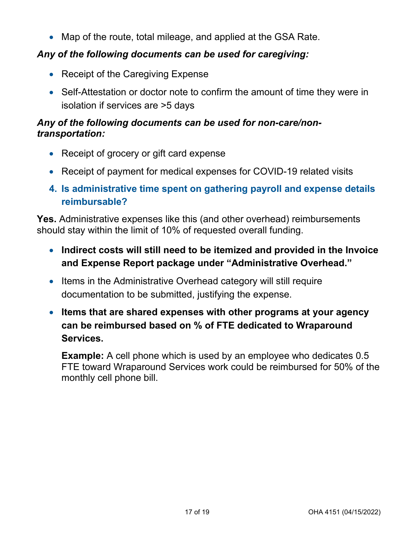• Map of the route, total mileage, and applied at the GSA Rate.

#### *Any of the following documents can be used for caregiving:*

- Receipt of the Caregiving Expense
- Self-Attestation or doctor note to confirm the amount of time they were in isolation if services are >5 days

#### *Any of the following documents can be used for non-care/nontransportation:*

- Receipt of grocery or gift card expense
- Receipt of payment for medical expenses for COVID-19 related visits
- **4. Is administrative time spent on gathering payroll and expense details reimbursable?**

**Yes.** Administrative expenses like this (and other overhead) reimbursements should stay within the limit of 10% of requested overall funding.

- **Indirect costs will still need to be itemized and provided in the Invoice and Expense Report package under "Administrative Overhead."**
- Items in the Administrative Overhead category will still require documentation to be submitted, justifying the expense.
- **Items that are shared expenses with other programs at your agency can be reimbursed based on % of FTE dedicated to Wraparound Services.**

**Example:** A cell phone which is used by an employee who dedicates 0.5 FTE toward Wraparound Services work could be reimbursed for 50% of the monthly cell phone bill.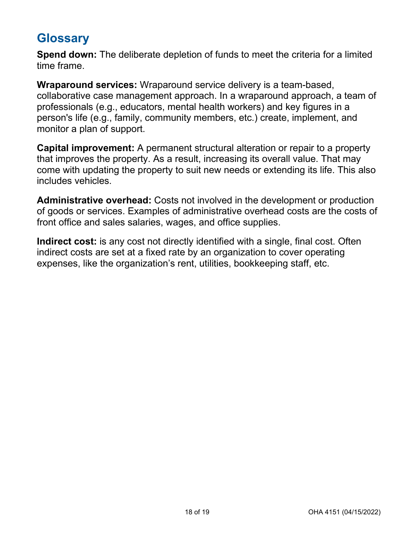## <span id="page-17-0"></span>**Glossary**

**Spend down:** The deliberate depletion of funds to meet the criteria for a limited time frame.

**Wraparound services:** Wraparound service delivery is a team-based, collaborative case management approach. In a wraparound approach, a team of professionals (e.g., educators, mental health workers) and key figures in a person's life (e.g., family, community members, etc.) create, implement, and monitor a plan of support.

**Capital improvement:** A permanent structural alteration or repair to a property that improves the property. As a result, increasing its overall value. That may come with updating the property to suit new needs or extending its life. This also includes vehicles.

**Administrative overhead:** Costs not involved in the development or production of goods or services. Examples of administrative overhead costs are the costs of front office and sales salaries, wages, and office supplies.

**Indirect cost:** is any cost not directly identified with a single, final cost. Often indirect costs are set at a fixed rate by an organization to cover operating expenses, like the organization's rent, utilities, bookkeeping staff, etc.